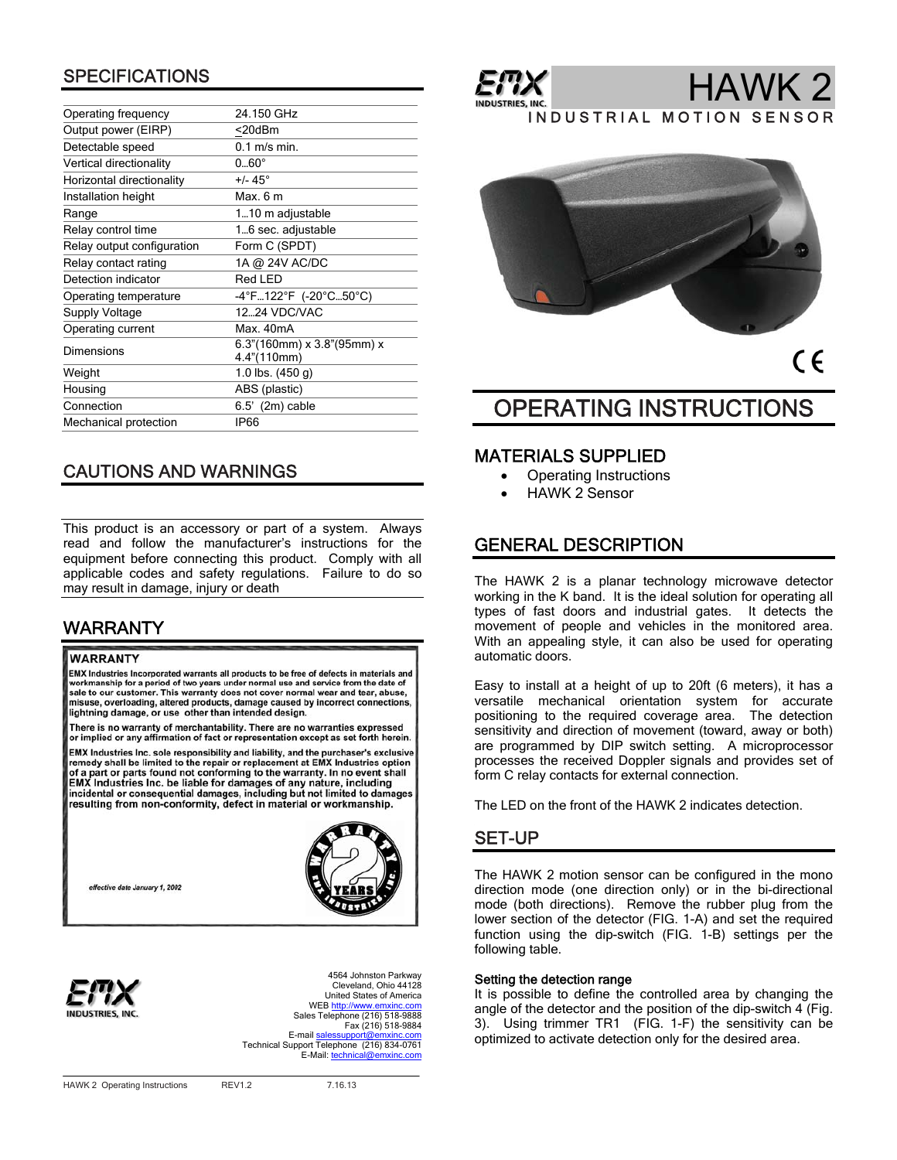# SPECIFICATIONS

| Operating frequency        | 24.150 GHz                                |  |
|----------------------------|-------------------------------------------|--|
| Output power (EIRP)        | $<$ 20dBm                                 |  |
| Detectable speed           | $0.1$ m/s min.                            |  |
| Vertical directionality    | $0.60^\circ$                              |  |
| Horizontal directionality  | $+/- 45^{\circ}$                          |  |
| Installation height        | Max. 6 m                                  |  |
| Range                      | 110 m adjustable                          |  |
| Relay control time         | 1.6 sec. adjustable                       |  |
| Relay output configuration | Form C (SPDT)                             |  |
| Relay contact rating       | 1A @ 24V AC/DC                            |  |
| Detection indicator        | Red LED                                   |  |
| Operating temperature      | -4°F122°F (-20°C50°C)                     |  |
| Supply Voltage             | 12.24 VDC/VAC                             |  |
| Operating current          | Max. 40mA                                 |  |
| Dimensions                 | 6.3"(160mm) x 3.8"(95mm) x<br>4.4"(110mm) |  |
| Weight                     | 1.0 lbs. $(450 g)$                        |  |
| Housing                    | ABS (plastic)                             |  |
| Connection                 | 6.5' (2m) cable                           |  |
| Mechanical protection      | <b>IP66</b>                               |  |
|                            |                                           |  |

# CAUTIONS AND WARNINGS

This product is an accessory or part of a system. Always read and follow the manufacturer's instructions for the equipment before connecting this product. Comply with all applicable codes and safety regulations. Failure to do so may result in damage, injury or death

### WARRANTY

#### **WARRANTY**

EMX Industries Incorporated warrants all products to be free of defects in materials and workmanship for a period of two years under normal use and service from the date of<br>sale to our customer. This warranty does not cover normal wear and tear, abuse, misuse, overloading, altered products, damage caused by incorrect connections, lightning damage, or use other than intended design.

There is no warranty of merchantability. There are no warranties expressed or implied or any affirmation of fact or representation except as set forth herein.

EMX Industries Inc. sole responsibility and liability, and the purchaser's exclusive<br>remedy shall be limited to the repair or replacement at EMX Industries option of a part or parts found not conforming to the warranty. In no event shall EMX Industries Inc. be liable for damages of any nature, including<br>incidental or consequential damages, including but not limited to damages resulting from non-conformity, defect in material or workmanship.

effective date January 1, 2002



4564 Johnston Parkway Cleveland, Ohio 44128 United States of America<br>WEB http://www.emxinc.com WEB <u>http://www.emxinc.com</u><br>Sales Telephone (216) 518-9888 Fax (216) 518-9884 E-mail salessupport@emxinc.com<br>Technical Support Telephone (216) 834-0761 E-Mail: techn

HAWK 2 Operating Instructions REV1.2 7.16.13



 $\epsilon$ 

# OPERATING INSTRUCTIONS

### MATERIALS SUPPLIED

- Operating Instructions
- HAWK 2 Sensor

### GENERAL DESCRIPTION

The HAWK 2 is a planar technology microwave detector working in the K band. It is the ideal solution for operating all types of fast doors and industrial gates. It detects the movement of people and vehicles in the monitored area. With an appealing style, it can also be used for operating automatic doors.

Easy to install at a height of up to 20ft (6 meters), it has a versatile mechanical orientation system for accurate positioning to the required coverage area. The detection sensitivity and direction of movement (toward, away or both) are programmed by DIP switch setting. A microprocessor processes the received Doppler signals and provides set of form C relay contacts for external connection.

The LED on the front of the HAWK 2 indicates detection.

## SET-UP

The HAWK 2 motion sensor can be configured in the mono direction mode (one direction only) or in the bi-directional mode (both directions). Remove the rubber plug from the lower section of the detector (FIG. 1-A) and set the required function using the dip-switch (FIG.  $1 - B$ ) settings per the following table.

#### Setting the detection range

It is possible to define the controlled area by changing the angle of the detector and the position of the dip-switch 4 (Fig. 3). Using trimmer TR1 (FIG. 1-F) the sensitivity can be optimized to activate detection only for the desired area.